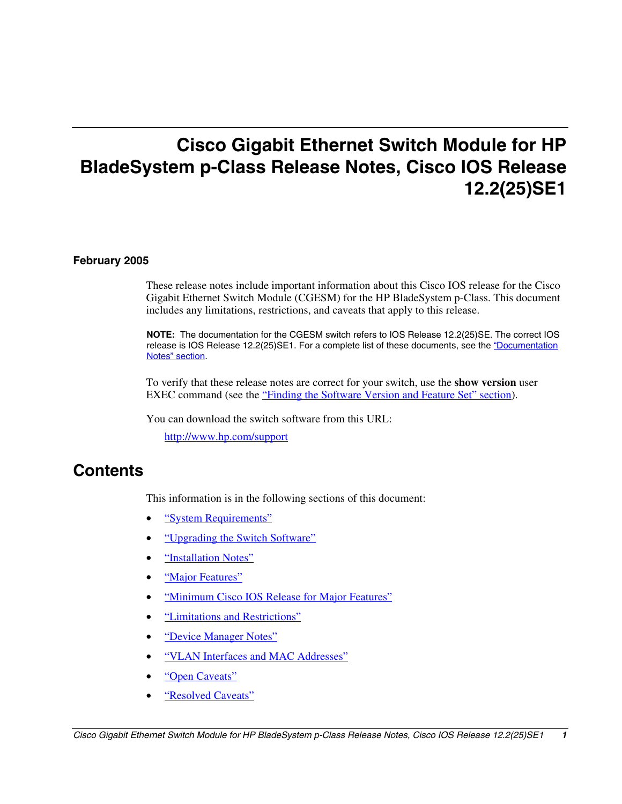# **Cisco Gigabit Ethernet Switch Module for HP BladeSystem p-Class Release Notes, Cisco IOS Release 12.2(25)SE1**

#### **February 2005**

These release notes include important information about this Cisco IOS release for the Cisco Gigabit Ethernet Switch Module (CGESM) for the HP BladeSystem p-Class. This document includes any limitations, restrictions, and caveats that apply to this release.

**NOTE:** The documentation for the CGESM switch refers to IOS Release 12.2(25)SE. The correct IOS release is IOS Release 12.2(25)SE1. For a complete list of these documents, see the "Documentation [Notes" section.](#page-14-0)

To verify that these release notes are correct for your switch, use the **show version** user EXEC command (see the ["Finding the Software Version and Feature Set" section\)](#page-2-0).

You can download the switch software from this URL:

<http://www.hp.com/support>

## **Contents**

This information is in the following sections of this document:

- ["System Requirements"](#page-1-0)
- ["Upgrading the Switch Software"](#page-2-0)
- ["Installation Notes"](#page-4-0)
- ["Major Features"](#page-5-0)
- ["Minimum Cisco IOS Release for Major Features"](#page-5-0)
- ["Limitations and Restrictions"](#page-6-0)
- ["Device Manager Notes"](#page-11-0)
- ["VLAN Interfaces and MAC Addresses"](#page-13-0)
- ["Open Caveats"](#page-14-1)
- ["Resolved Caveats"](#page-18-0)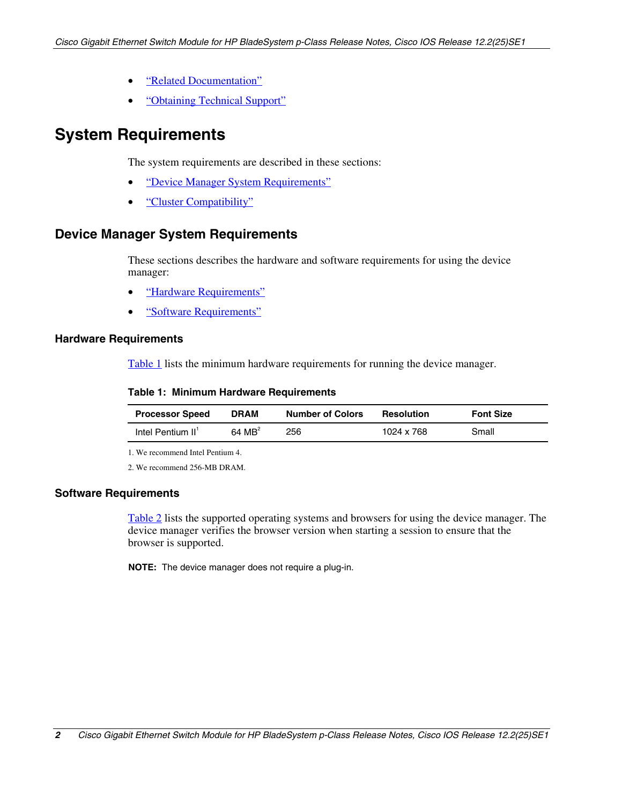- ["Related Documentation"](#page-20-0)
- ["Obtaining Technical Support"](#page-21-0)

## <span id="page-1-0"></span>**System Requirements**

The system requirements are described in these sections:

- ["Device Manager System Requirements"](#page-1-0)
- ["Cluster Compatibility"](#page-2-0)

### **Device Manager System Requirements**

These sections describes the hardware and software requirements for using the device manager:

- ["Hardware Requirements"](#page-1-0)
- ["Software Requirements"](#page-1-0)

#### **Hardware Requirements**

[Table 1](#page-1-0) lists the minimum hardware requirements for running the device manager.

#### **Table 1: Minimum Hardware Requirements**

| <b>Processor Speed</b>        | <b>DRAM</b>       | <b>Number of Colors</b> | <b>Resolution</b> | <b>Font Size</b> |
|-------------------------------|-------------------|-------------------------|-------------------|------------------|
| Intel Pentium II <sup>'</sup> | $64 \text{ MB}^2$ | 256                     | 1024 x 768        | Small            |

1. We recommend Intel Pentium 4.

2. We recommend 256-MB DRAM.

#### **Software Requirements**

[Table 2](#page-2-0) lists the supported operating systems and browsers for using the device manager. The device manager verifies the browser version when starting a session to ensure that the browser is supported.

**NOTE:** The device manager does not require a plug-in.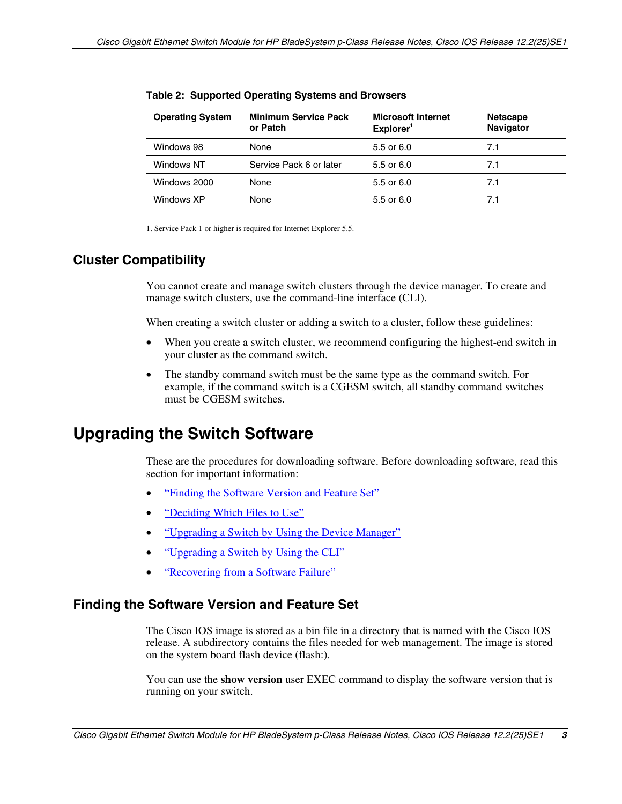| <b>Operating System</b> | <b>Minimum Service Pack</b><br>or Patch | <b>Microsoft Internet</b><br>Explorer <sup>1</sup> | <b>Netscape</b><br>Navigator |
|-------------------------|-----------------------------------------|----------------------------------------------------|------------------------------|
| Windows 98              | None                                    | 5.5 or $6.0$                                       | 7.1                          |
| Windows NT              | Service Pack 6 or later                 | 5.5 or 6.0                                         | 7.1                          |
| Windows 2000            | None                                    | 5.5 or 6.0                                         | 7.1                          |
| Windows XP              | None                                    | 5.5 or 6.0                                         | 7.1                          |

<span id="page-2-0"></span>**Table 2: Supported Operating Systems and Browsers** 

1. Service Pack 1 or higher is required for Internet Explorer 5.5.

## **Cluster Compatibility**

You cannot create and manage switch clusters through the device manager. To create and manage switch clusters, use the command-line interface (CLI).

When creating a switch cluster or adding a switch to a cluster, follow these guidelines:

- When you create a switch cluster, we recommend configuring the highest-end switch in your cluster as the command switch.
- The standby command switch must be the same type as the command switch. For example, if the command switch is a CGESM switch, all standby command switches must be CGESM switches.

## **Upgrading the Switch Software**

These are the procedures for downloading software. Before downloading software, read this section for important information:

- ["Finding the Software Version and Feature Set"](#page-2-0)
- ["Deciding Which Files to Use"](#page-3-0)
- ["Upgrading a Switch by Using the Device Manager"](#page-3-0)
- ["Upgrading a Switch by Using the CLI"](#page-3-0)
- ["Recovering from a Software Failure"](#page-4-0)

### **Finding the Software Version and Feature Set**

The Cisco IOS image is stored as a bin file in a directory that is named with the Cisco IOS release. A subdirectory contains the files needed for web management. The image is stored on the system board flash device (flash:).

You can use the **show version** user EXEC command to display the software version that is running on your switch.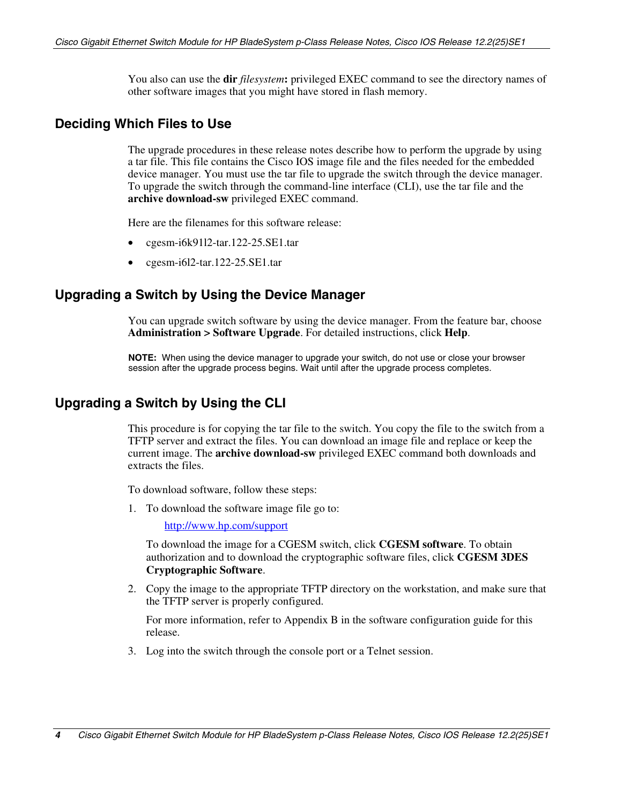You also can use the **dir** *filesystem***:** privileged EXEC command to see the directory names of other software images that you might have stored in flash memory.

### <span id="page-3-0"></span>**Deciding Which Files to Use**

The upgrade procedures in these release notes describe how to perform the upgrade by using a tar file. This file contains the Cisco IOS image file and the files needed for the embedded device manager. You must use the tar file to upgrade the switch through the device manager. To upgrade the switch through the command-line interface (CLI), use the tar file and the **archive download-sw** privileged EXEC command.

Here are the filenames for this software release:

- cgesm-i6k91l2-tar.122-25.SE1.tar
- cgesm-i6l2-tar.122-25.SE1.tar

### **Upgrading a Switch by Using the Device Manager**

You can upgrade switch software by using the device manager. From the feature bar, choose **Administration > Software Upgrade**. For detailed instructions, click **Help**.

**NOTE:** When using the device manager to upgrade your switch, do not use or close your browser session after the upgrade process begins. Wait until after the upgrade process completes.

### **Upgrading a Switch by Using the CLI**

This procedure is for copying the tar file to the switch. You copy the file to the switch from a TFTP server and extract the files. You can download an image file and replace or keep the current image. The **archive download-sw** privileged EXEC command both downloads and extracts the files.

To download software, follow these steps:

1. To download the software image file go to:

<http://www.hp.com/support>

To download the image for a CGESM switch, click **CGESM software**. To obtain authorization and to download the cryptographic software files, click **CGESM 3DES Cryptographic Software**.

2. Copy the image to the appropriate TFTP directory on the workstation, and make sure that the TFTP server is properly configured.

For more information, refer to Appendix B in the software configuration guide for this release.

3. Log into the switch through the console port or a Telnet session.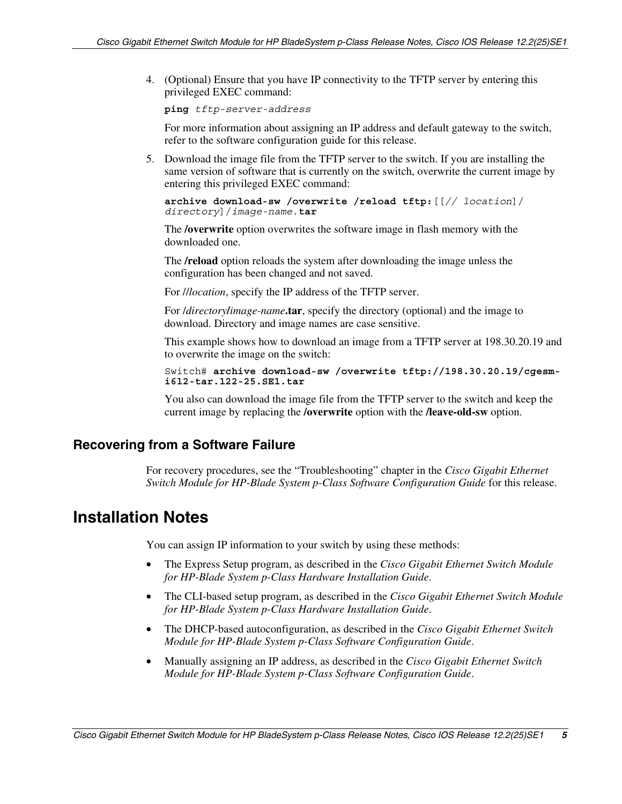<span id="page-4-0"></span>4. (Optional) Ensure that you have IP connectivity to the TFTP server by entering this privileged EXEC command:

**ping** *tftp-server-address*

For more information about assigning an IP address and default gateway to the switch, refer to the software configuration guide for this release.

5. Download the image file from the TFTP server to the switch. If you are installing the same version of software that is currently on the switch, overwrite the current image by entering this privileged EXEC command:

**archive download-sw /overwrite /reload tftp:**[[*// location*]/ *directory*]/*image-name*.**tar**

The **/overwrite** option overwrites the software image in flash memory with the downloaded one.

The **/reload** option reloads the system after downloading the image unless the configuration has been changed and not saved.

For //*location*, specify the IP address of the TFTP server.

For /*directory***/***image-name***.tar**, specify the directory (optional) and the image to download. Directory and image names are case sensitive.

This example shows how to download an image from a TFTP server at 198.30.20.19 and to overwrite the image on the switch:

Switch# **archive download-sw /overwrite tftp://198.30.20.19/cgesmi6l2-tar.122-25.SE1.tar**

You also can download the image file from the TFTP server to the switch and keep the current image by replacing the **/overwrite** option with the **/leave-old-sw** option.

### **Recovering from a Software Failure**

For recovery procedures, see the "Troubleshooting" chapter in the *Cisco Gigabit Ethernet Switch Module for HP-Blade System p-Class Software Configuration Guide* for this release.

## **Installation Notes**

You can assign IP information to your switch by using these methods:

- The Express Setup program, as described in the *Cisco Gigabit Ethernet Switch Module for HP-Blade System p-Class Hardware Installation Guide*.
- The CLI-based setup program, as described in the *Cisco Gigabit Ethernet Switch Module for HP-Blade System p-Class Hardware Installation Guide*.
- The DHCP-based autoconfiguration, as described in the *Cisco Gigabit Ethernet Switch Module for HP-Blade System p-Class Software Configuration Guide*.
- Manually assigning an IP address, as described in the *Cisco Gigabit Ethernet Switch Module for HP-Blade System p-Class Software Configuration Guide*.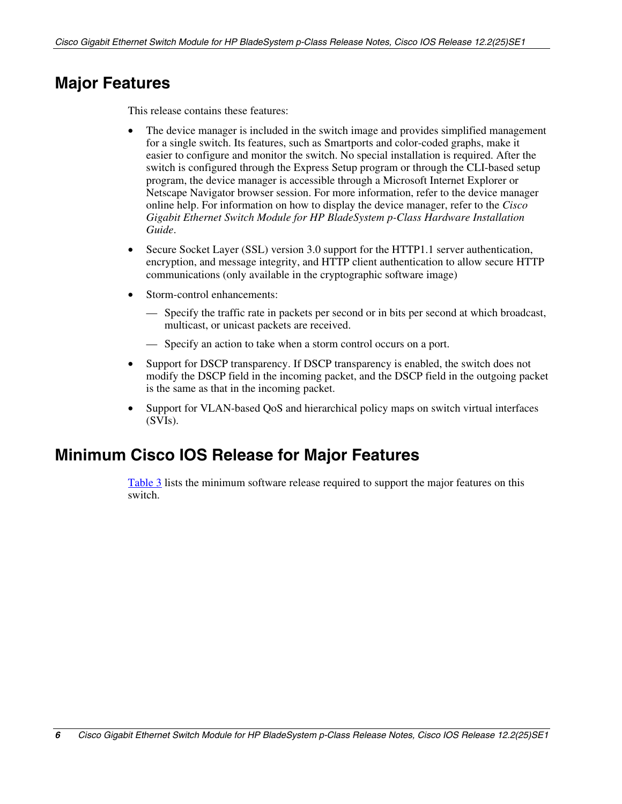## <span id="page-5-0"></span>**Major Features**

This release contains these features:

- The device manager is included in the switch image and provides simplified management for a single switch. Its features, such as Smartports and color-coded graphs, make it easier to configure and monitor the switch. No special installation is required. After the switch is configured through the Express Setup program or through the CLI-based setup program, the device manager is accessible through a Microsoft Internet Explorer or Netscape Navigator browser session. For more information, refer to the device manager online help. For information on how to display the device manager, refer to the *Cisco Gigabit Ethernet Switch Module for HP BladeSystem p-Class Hardware Installation Guide*.
- Secure Socket Layer (SSL) version 3.0 support for the HTTP1.1 server authentication, encryption, and message integrity, and HTTP client authentication to allow secure HTTP communications (only available in the cryptographic software image)
- Storm-control enhancements:
	- Specify the traffic rate in packets per second or in bits per second at which broadcast, multicast, or unicast packets are received.
	- Specify an action to take when a storm control occurs on a port.
- Support for DSCP transparency. If DSCP transparency is enabled, the switch does not modify the DSCP field in the incoming packet, and the DSCP field in the outgoing packet is the same as that in the incoming packet.
- Support for VLAN-based QoS and hierarchical policy maps on switch virtual interfaces (SVIs).

## **Minimum Cisco IOS Release for Major Features**

[Table 3](#page-6-0) lists the minimum software release required to support the major features on this switch.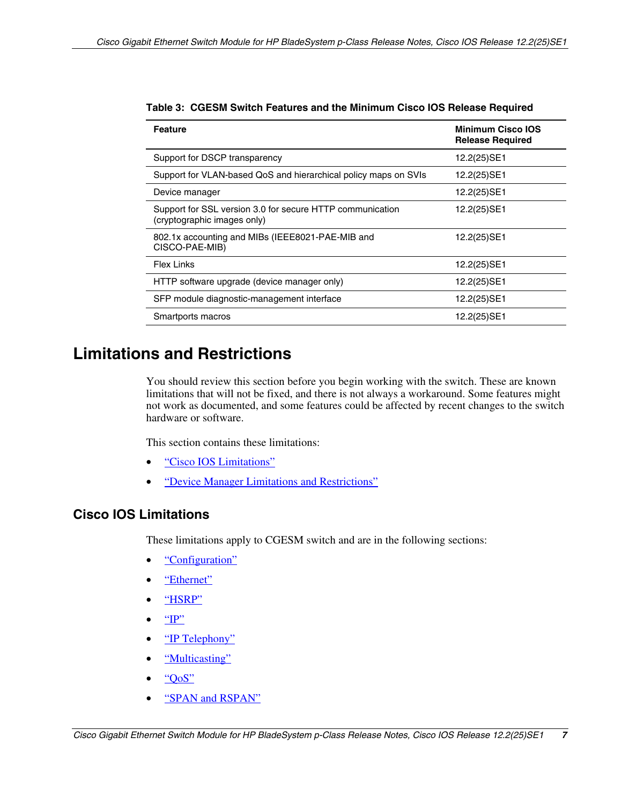| <b>Feature</b>                                                                           | <b>Minimum Cisco IOS</b><br><b>Release Required</b> |
|------------------------------------------------------------------------------------------|-----------------------------------------------------|
| Support for DSCP transparency                                                            | 12.2(25)SE1                                         |
| Support for VLAN-based QoS and hierarchical policy maps on SVIs                          | 12.2(25)SE1                                         |
| Device manager                                                                           | 12.2(25)SE1                                         |
| Support for SSL version 3.0 for secure HTTP communication<br>(cryptographic images only) | 12.2(25)SE1                                         |
| 802.1x accounting and MIBs (IEEE8021-PAE-MIB and<br>CISCO-PAE-MIB)                       | 12.2(25)SE1                                         |
| <b>Flex Links</b>                                                                        | 12.2(25)SE1                                         |
| HTTP software upgrade (device manager only)                                              | 12.2(25)SE1                                         |
| SFP module diagnostic-management interface                                               | 12.2(25)SE1                                         |
| Smartports macros                                                                        | 12.2(25)SE1                                         |

<span id="page-6-0"></span>

| Table 3: CGESM Switch Features and the Minimum Cisco IOS Release Required |  |
|---------------------------------------------------------------------------|--|
|---------------------------------------------------------------------------|--|

## **Limitations and Restrictions**

You should review this section before you begin working with the switch. These are known limitations that will not be fixed, and there is not always a workaround. Some features might not work as documented, and some features could be affected by recent changes to the switch hardware or software.

This section contains these limitations:

- ["Cisco IOS Limitations"](#page-6-0)
- ["Device Manager Limitations and Restrictions"](#page-11-0)

## **Cisco IOS Limitations**

These limitations apply to CGESM switch and are in the following sections:

- ["Configuration"](#page-7-0)
- ["Ethernet"](#page-8-0)
- ["HSRP"](#page-8-0)
- $\bullet$  ["IP"](#page-8-0)
- ["IP Telephony"](#page-8-0)
- ["Multicasting"](#page-9-0)
- ["QoS"](#page-9-0)
- ["SPAN and RSPAN"](#page-10-0)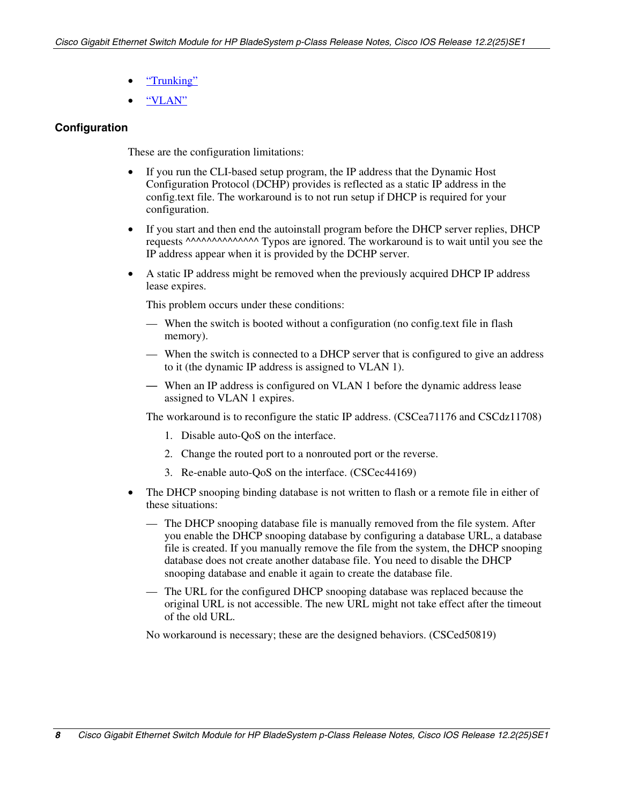- ["Trunking"](#page-10-1)
- ["VLAN"](#page-11-0)

### <span id="page-7-0"></span>**Configuration**

These are the configuration limitations:

- If you run the CLI-based setup program, the IP address that the Dynamic Host Configuration Protocol (DCHP) provides is reflected as a static IP address in the config.text file. The workaround is to not run setup if DHCP is required for your configuration.
- If you start and then end the autoinstall program before the DHCP server replies, DHCP requests ^^^^^^^^^^^^^^^ Typos are ignored. The workaround is to wait until you see the IP address appear when it is provided by the DCHP server.
- A static IP address might be removed when the previously acquired DHCP IP address lease expires.

This problem occurs under these conditions:

- When the switch is booted without a configuration (no config.text file in flash memory).
- When the switch is connected to a DHCP server that is configured to give an address to it (the dynamic IP address is assigned to VLAN 1).
- When an IP address is configured on VLAN 1 before the dynamic address lease assigned to VLAN 1 expires.

The workaround is to reconfigure the static IP address. (CSCea71176 and CSCdz11708)

- 1. Disable auto-QoS on the interface.
- 2. Change the routed port to a nonrouted port or the reverse.
- 3. Re-enable auto-QoS on the interface. (CSCec44169)
- The DHCP snooping binding database is not written to flash or a remote file in either of these situations:
	- The DHCP snooping database file is manually removed from the file system. After you enable the DHCP snooping database by configuring a database URL, a database file is created. If you manually remove the file from the system, the DHCP snooping database does not create another database file. You need to disable the DHCP snooping database and enable it again to create the database file.
	- The URL for the configured DHCP snooping database was replaced because the original URL is not accessible. The new URL might not take effect after the timeout of the old URL.

No workaround is necessary; these are the designed behaviors. (CSCed50819)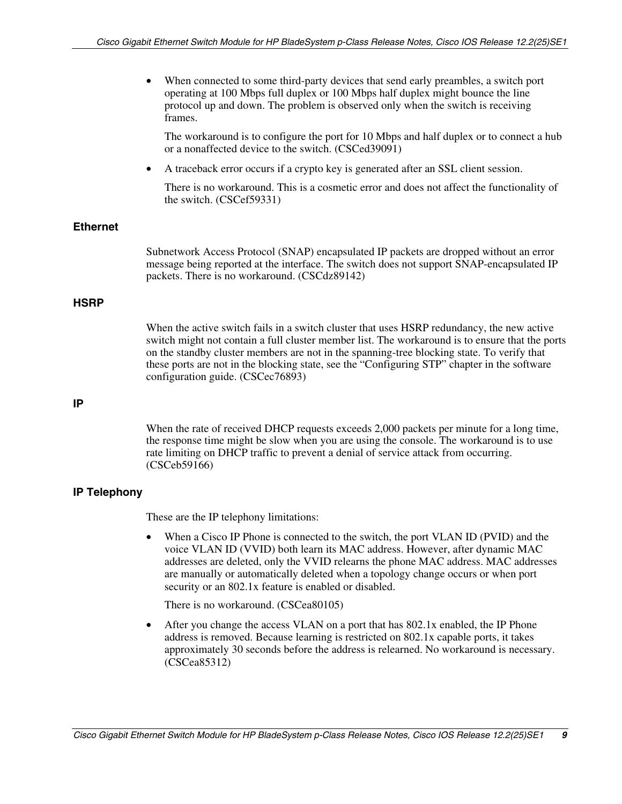<span id="page-8-0"></span>

| When connected to some third-party devices that send early preambles, a switch port |
|-------------------------------------------------------------------------------------|
| operating at 100 Mbps full duplex or 100 Mbps half duplex might bounce the line     |
| protocol up and down. The problem is observed only when the switch is receiving     |
| frames.                                                                             |

The workaround is to configure the port for 10 Mbps and half duplex or to connect a hub or a nonaffected device to the switch. (CSCed39091)

• A traceback error occurs if a crypto key is generated after an SSL client session.

There is no workaround. This is a cosmetic error and does not affect the functionality of the switch. (CSCef59331)

#### **Ethernet**

Subnetwork Access Protocol (SNAP) encapsulated IP packets are dropped without an error message being reported at the interface. The switch does not support SNAP-encapsulated IP packets. There is no workaround. (CSCdz89142)

#### **HSRP**

When the active switch fails in a switch cluster that uses HSRP redundancy, the new active switch might not contain a full cluster member list. The workaround is to ensure that the ports on the standby cluster members are not in the spanning-tree blocking state. To verify that these ports are not in the blocking state, see the "Configuring STP" chapter in the software configuration guide. (CSCec76893)

#### **IP**

When the rate of received DHCP requests exceeds 2,000 packets per minute for a long time, the response time might be slow when you are using the console. The workaround is to use rate limiting on DHCP traffic to prevent a denial of service attack from occurring. (CSCeb59166)

#### **IP Telephony**

These are the IP telephony limitations:

• When a Cisco IP Phone is connected to the switch, the port VLAN ID (PVID) and the voice VLAN ID (VVID) both learn its MAC address. However, after dynamic MAC addresses are deleted, only the VVID relearns the phone MAC address. MAC addresses are manually or automatically deleted when a topology change occurs or when port security or an 802.1x feature is enabled or disabled.

There is no workaround. (CSCea80105)

• After you change the access VLAN on a port that has 802.1x enabled, the IP Phone address is removed. Because learning is restricted on 802.1x capable ports, it takes approximately 30 seconds before the address is relearned. No workaround is necessary. (CSCea85312)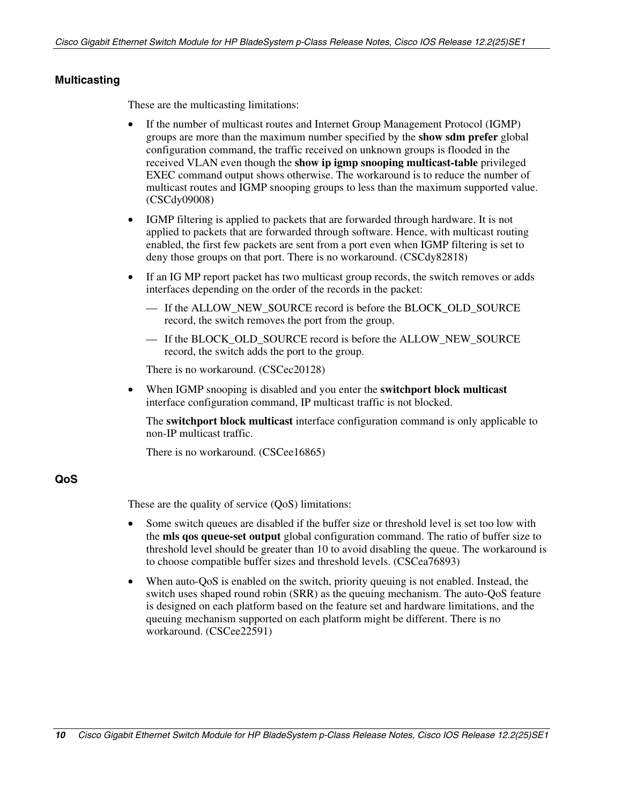#### <span id="page-9-0"></span>**Multicasting**

These are the multicasting limitations:

- If the number of multicast routes and Internet Group Management Protocol (IGMP) groups are more than the maximum number specified by the **show sdm prefer** global configuration command, the traffic received on unknown groups is flooded in the received VLAN even though the **show ip igmp snooping multicast-table** privileged EXEC command output shows otherwise. The workaround is to reduce the number of multicast routes and IGMP snooping groups to less than the maximum supported value. (CSCdy09008)
- IGMP filtering is applied to packets that are forwarded through hardware. It is not applied to packets that are forwarded through software. Hence, with multicast routing enabled, the first few packets are sent from a port even when IGMP filtering is set to deny those groups on that port. There is no workaround. (CSCdy82818)
- If an IG MP report packet has two multicast group records, the switch removes or adds interfaces depending on the order of the records in the packet:
	- If the ALLOW\_NEW\_SOURCE record is before the BLOCK\_OLD\_SOURCE record, the switch removes the port from the group.
	- If the BLOCK OLD SOURCE record is before the ALLOW NEW SOURCE record, the switch adds the port to the group.

There is no workaround. (CSCec20128)

• When IGMP snooping is disabled and you enter the **switchport block multicast**  interface configuration command, IP multicast traffic is not blocked.

The **switchport block multicast** interface configuration command is only applicable to non-IP multicast traffic.

There is no workaround. (CSCee16865)

### **QoS**

These are the quality of service (QoS) limitations:

- Some switch queues are disabled if the buffer size or threshold level is set too low with the **mls qos queue-set output** global configuration command. The ratio of buffer size to threshold level should be greater than 10 to avoid disabling the queue. The workaround is to choose compatible buffer sizes and threshold levels. (CSCea76893)
- When auto-QoS is enabled on the switch, priority queuing is not enabled. Instead, the switch uses shaped round robin (SRR) as the queuing mechanism. The auto-QoS feature is designed on each platform based on the feature set and hardware limitations, and the queuing mechanism supported on each platform might be different. There is no workaround. (CSCee22591)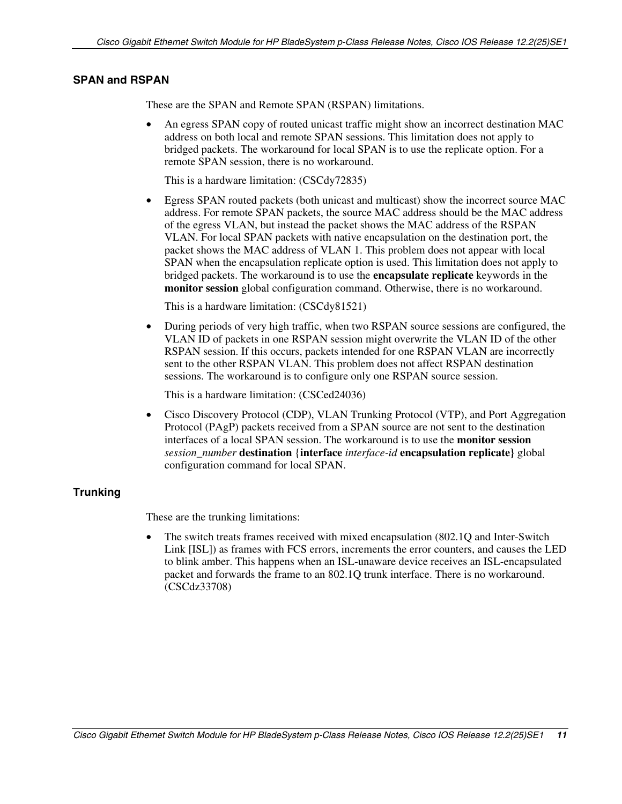#### <span id="page-10-1"></span><span id="page-10-0"></span>**SPAN and RSPAN**

These are the SPAN and Remote SPAN (RSPAN) limitations.

• An egress SPAN copy of routed unicast traffic might show an incorrect destination MAC address on both local and remote SPAN sessions. This limitation does not apply to bridged packets. The workaround for local SPAN is to use the replicate option. For a remote SPAN session, there is no workaround.

This is a hardware limitation: (CSCdy72835)

• Egress SPAN routed packets (both unicast and multicast) show the incorrect source MAC address. For remote SPAN packets, the source MAC address should be the MAC address of the egress VLAN, but instead the packet shows the MAC address of the RSPAN VLAN. For local SPAN packets with native encapsulation on the destination port, the packet shows the MAC address of VLAN 1. This problem does not appear with local SPAN when the encapsulation replicate option is used. This limitation does not apply to bridged packets. The workaround is to use the **encapsulate replicate** keywords in the **monitor session** global configuration command. Otherwise, there is no workaround.

This is a hardware limitation: (CSCdy81521)

• During periods of very high traffic, when two RSPAN source sessions are configured, the VLAN ID of packets in one RSPAN session might overwrite the VLAN ID of the other RSPAN session. If this occurs, packets intended for one RSPAN VLAN are incorrectly sent to the other RSPAN VLAN. This problem does not affect RSPAN destination sessions. The workaround is to configure only one RSPAN source session.

This is a hardware limitation: (CSCed24036)

• Cisco Discovery Protocol (CDP), VLAN Trunking Protocol (VTP), and Port Aggregation Protocol (PAgP) packets received from a SPAN source are not sent to the destination interfaces of a local SPAN session. The workaround is to use the **monitor session**  *session\_number* **destination** {**interface** *interface-id* **encapsulation replicate}** global configuration command for local SPAN.

#### **Trunking**

These are the trunking limitations:

• The switch treats frames received with mixed encapsulation (802.1Q and Inter-Switch Link [ISL]) as frames with FCS errors, increments the error counters, and causes the LED to blink amber. This happens when an ISL-unaware device receives an ISL-encapsulated packet and forwards the frame to an 802.1Q trunk interface. There is no workaround. (CSCdz33708)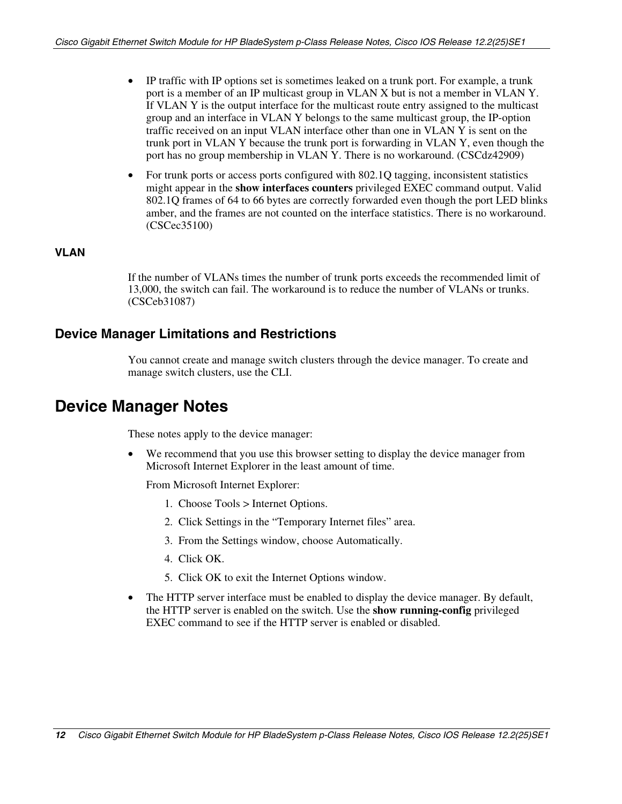- <span id="page-11-0"></span>• IP traffic with IP options set is sometimes leaked on a trunk port. For example, a trunk port is a member of an IP multicast group in VLAN X but is not a member in VLAN Y. If VLAN Y is the output interface for the multicast route entry assigned to the multicast group and an interface in VLAN Y belongs to the same multicast group, the IP-option traffic received on an input VLAN interface other than one in VLAN Y is sent on the trunk port in VLAN Y because the trunk port is forwarding in VLAN Y, even though the port has no group membership in VLAN Y. There is no workaround. (CSCdz42909)
- For trunk ports or access ports configured with 802.1Q tagging, inconsistent statistics might appear in the **show interfaces counters** privileged EXEC command output. Valid 802.1Q frames of 64 to 66 bytes are correctly forwarded even though the port LED blinks amber, and the frames are not counted on the interface statistics. There is no workaround. (CSCec35100)

### **VLAN**

If the number of VLANs times the number of trunk ports exceeds the recommended limit of 13,000, the switch can fail. The workaround is to reduce the number of VLANs or trunks. (CSCeb31087)

## **Device Manager Limitations and Restrictions**

You cannot create and manage switch clusters through the device manager. To create and manage switch clusters, use the CLI.

## **Device Manager Notes**

These notes apply to the device manager:

• We recommend that you use this browser setting to display the device manager from Microsoft Internet Explorer in the least amount of time.

From Microsoft Internet Explorer:

- 1. Choose Tools > Internet Options.
- 2. Click Settings in the "Temporary Internet files" area.
- 3. From the Settings window, choose Automatically.
- 4. Click OK.
- 5. Click OK to exit the Internet Options window.
- $\bullet$ The HTTP server interface must be enabled to display the device manager. By default, the HTTP server is enabled on the switch. Use the **show running-config** privileged EXEC command to see if the HTTP server is enabled or disabled.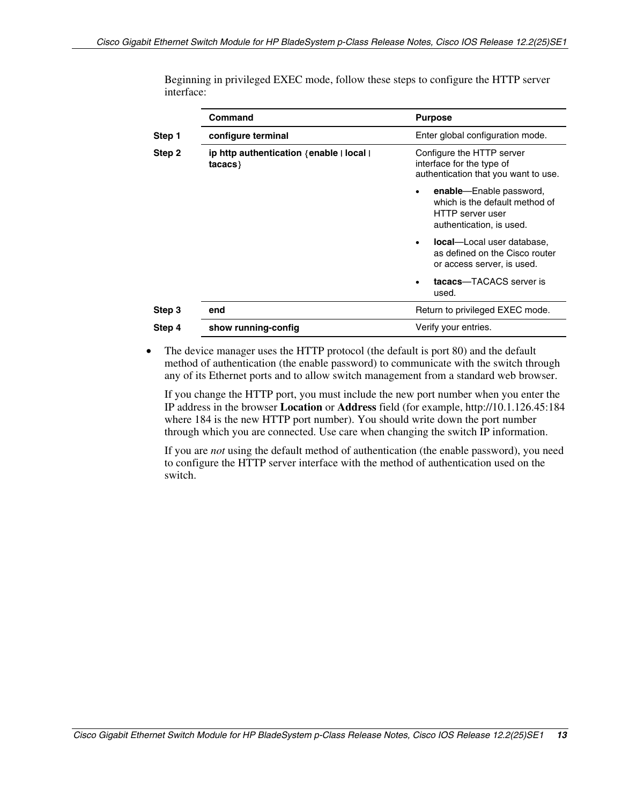|        | <b>Command</b>                                    | <b>Purpose</b>                                                                                            |  |
|--------|---------------------------------------------------|-----------------------------------------------------------------------------------------------------------|--|
| Step 1 | configure terminal                                | Enter global configuration mode.                                                                          |  |
| Step 2 | ip http authentication {enable   local  <br>taccs | Configure the HTTP server<br>interface for the type of<br>authentication that you want to use.            |  |
|        |                                                   | enable-Enable password,<br>which is the default method of<br>HTTP server user<br>authentication, is used. |  |
|        |                                                   | <b>local</b> —Local user database,<br>as defined on the Cisco router<br>or access server, is used.        |  |
|        |                                                   | tacacs-TACACS server is<br>used.                                                                          |  |
| Step 3 | end                                               | Return to privileged EXEC mode.                                                                           |  |
| Step 4 | show running-config                               | Verify your entries.                                                                                      |  |

Beginning in privileged EXEC mode, follow these steps to configure the HTTP server interface:

• The device manager uses the HTTP protocol (the default is port 80) and the default method of authentication (the enable password) to communicate with the switch through any of its Ethernet ports and to allow switch management from a standard web browser.

If you change the HTTP port, you must include the new port number when you enter the IP address in the browser **Location** or **Address** field (for example, http://10.1.126.45:184 where 184 is the new HTTP port number). You should write down the port number through which you are connected. Use care when changing the switch IP information.

If you are *not* using the default method of authentication (the enable password), you need to configure the HTTP server interface with the method of authentication used on the switch.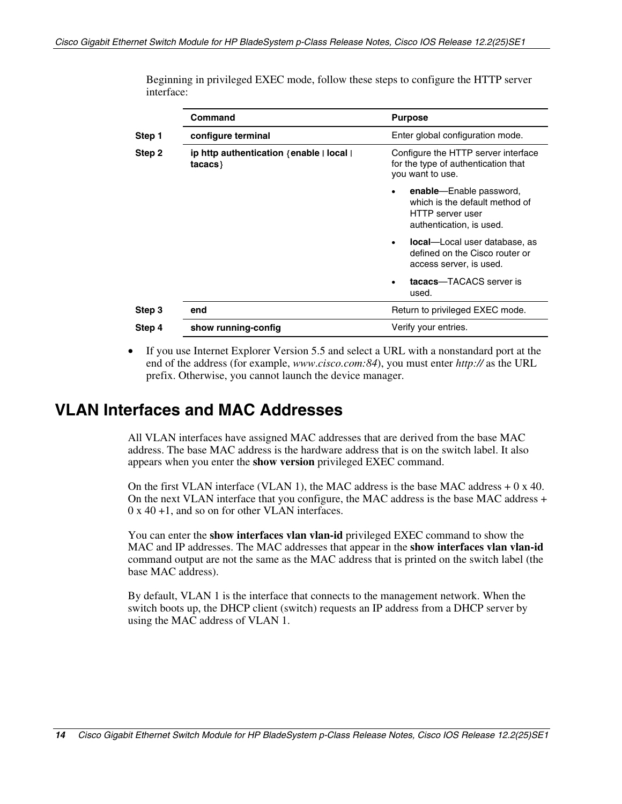|        | <b>Command</b>                                    | <b>Purpose</b>                                                                                                  |  |
|--------|---------------------------------------------------|-----------------------------------------------------------------------------------------------------------------|--|
| Step 1 | configure terminal                                | Enter global configuration mode.                                                                                |  |
| Step 2 | ip http authentication {enable   local  <br>taccs | Configure the HTTP server interface<br>for the type of authentication that<br>you want to use.                  |  |
|        |                                                   | enable—Enable password,<br>which is the default method of<br>HTTP server user<br>authentication, is used.       |  |
|        |                                                   | <b>local</b> —Local user database, as<br>$\bullet$<br>defined on the Cisco router or<br>access server, is used. |  |
|        |                                                   | tacacs-TACACS server is<br>used.                                                                                |  |
| Step 3 | end                                               | Return to privileged EXEC mode.                                                                                 |  |
| Step 4 | show running-config                               | Verify your entries.                                                                                            |  |

<span id="page-13-0"></span>Beginning in privileged EXEC mode, follow these steps to configure the HTTP server interface:

• If you use Internet Explorer Version 5.5 and select a URL with a nonstandard port at the end of the address (for example, *www*.*cisco.com:84*), you must enter *http://* as the URL prefix. Otherwise, you cannot launch the device manager.

## **VLAN Interfaces and MAC Addresses**

All VLAN interfaces have assigned MAC addresses that are derived from the base MAC address. The base MAC address is the hardware address that is on the switch label. It also appears when you enter the **show version** privileged EXEC command.

On the first VLAN interface (VLAN 1), the MAC address is the base MAC address  $+ 0 \times 40$ . On the next VLAN interface that you configure, the MAC address is the base MAC address + 0 x 40 +1, and so on for other VLAN interfaces.

You can enter the **show interfaces vlan vlan-id** privileged EXEC command to show the MAC and IP addresses. The MAC addresses that appear in the **show interfaces vlan vlan-id**  command output are not the same as the MAC address that is printed on the switch label (the base MAC address).

By default, VLAN 1 is the interface that connects to the management network. When the switch boots up, the DHCP client (switch) requests an IP address from a DHCP server by using the MAC address of VLAN 1.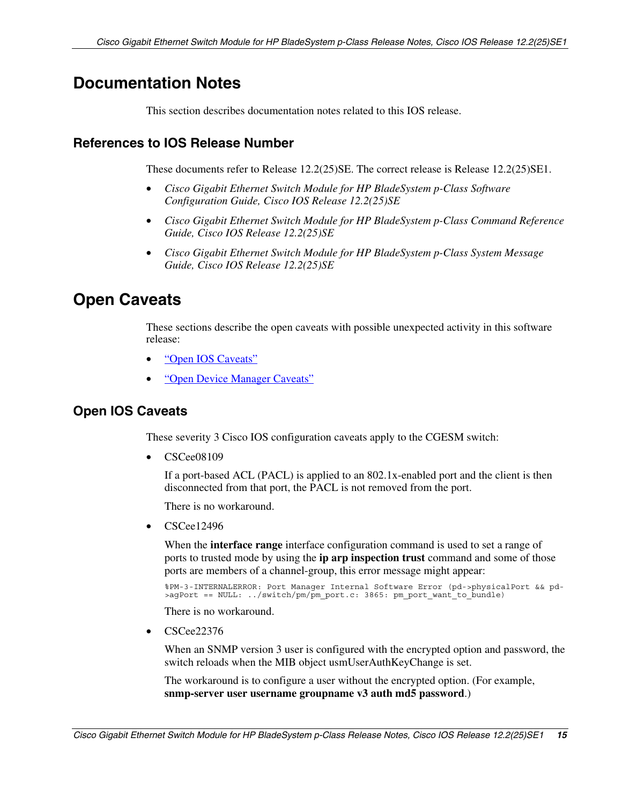## <span id="page-14-1"></span><span id="page-14-0"></span>**Documentation Notes**

This section describes documentation notes related to this IOS release.

### **References to IOS Release Number**

These documents refer to Release 12.2(25)SE. The correct release is Release 12.2(25)SE1.

- *Cisco Gigabit Ethernet Switch Module for HP BladeSystem p-Class Software Configuration Guide, Cisco IOS Release 12.2(25)SE*
- *Cisco Gigabit Ethernet Switch Module for HP BladeSystem p-Class Command Reference Guide, Cisco IOS Release 12.2(25)SE*
- *Cisco Gigabit Ethernet Switch Module for HP BladeSystem p-Class System Message Guide, Cisco IOS Release 12.2(25)SE*

## **Open Caveats**

These sections describe the open caveats with possible unexpected activity in this software release:

- ["Open IOS Caveats"](#page-14-1)
- ["Open Device Manager Caveats"](#page-18-0)

### **Open IOS Caveats**

These severity 3 Cisco IOS configuration caveats apply to the CGESM switch:

• CSCee08109

> If a port-based ACL (PACL) is applied to an 802.1x-enabled port and the client is then disconnected from that port, the PACL is not removed from the port.

There is no workaround.

• CSCee12496

> When the **interface range** interface configuration command is used to set a range of ports to trusted mode by using the **ip arp inspection trust** command and some of those ports are members of a channel-group, this error message might appear:

%PM-3-INTERNALERROR: Port Manager Internal Software Error (pd->physicalPort && pd- >agPort == NULL: ../switch/pm/pm\_port.c: 3865: pm\_port\_want\_to\_bundle)

There is no workaround.

• CSCee22376

> When an SNMP version 3 user is configured with the encrypted option and password, the switch reloads when the MIB object usmUserAuthKeyChange is set.

The workaround is to configure a user without the encrypted option. (For example, **snmp-server user username groupname v3 auth md5 password**.)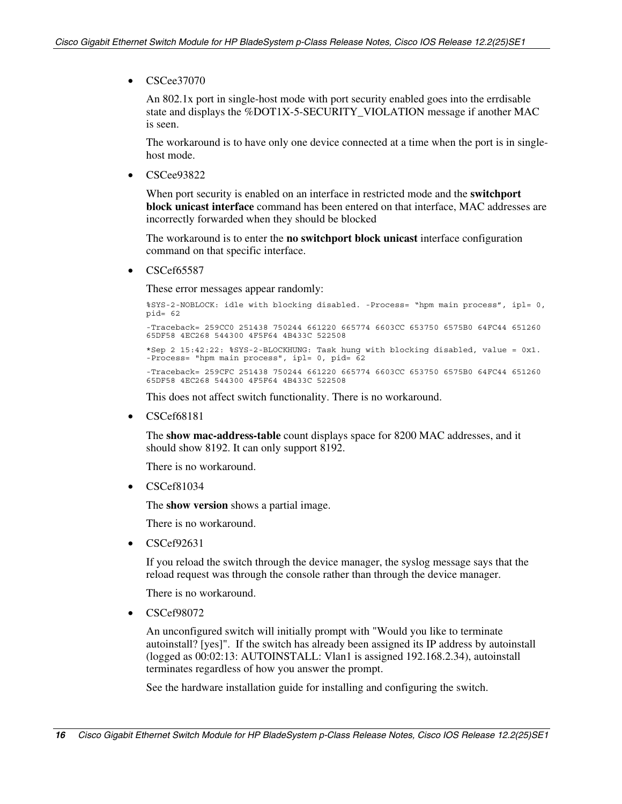• CSCee37070

An 802.1x port in single-host mode with port security enabled goes into the errdisable state and displays the %DOT1X-5-SECURITY\_VIOLATION message if another MAC is seen.

The workaround is to have only one device connected at a time when the port is in singlehost mode.

• CSCee93822

> When port security is enabled on an interface in restricted mode and the **switchport block unicast interface** command has been entered on that interface, MAC addresses are incorrectly forwarded when they should be blocked

The workaround is to enter the **no switchport block unicast** interface configuration command on that specific interface.

• CSCef65587

These error messages appear randomly:

%SYS-2-NOBLOCK: idle with blocking disabled. -Process= "hpm main process", ipl= 0, pid= 62 -Traceback= 259CC0 251438 750244 661220 665774 6603CC 653750 6575B0 64FC44 651260 65DF58 4EC268 544300 4F5F64 4B433C 522508 \*Sep 2 15:42:22: %SYS-2-BLOCKHUNG: Task hung with blocking disabled, value = 0x1. -Process= "hpm main process", ipl= 0, pid= 62 -Traceback= 259CFC 251438 750244 661220 665774 6603CC 653750 6575B0 64FC44 651260 65DF58 4EC268 544300 4F5F64 4B433C 522508

This does not affect switch functionality. There is no workaround.

• CSCef68181

> The **show mac-address-table** count displays space for 8200 MAC addresses, and it should show 8192. It can only support 8192.

There is no workaround.

• CSCef81034

The **show version** shows a partial image.

There is no workaround.

• CSCef92631

> If you reload the switch through the device manager, the syslog message says that the reload request was through the console rather than through the device manager.

There is no workaround.

• CSCef98072

> An unconfigured switch will initially prompt with "Would you like to terminate autoinstall? [yes]". If the switch has already been assigned its IP address by autoinstall (logged as 00:02:13: AUTOINSTALL: Vlan1 is assigned 192.168.2.34), autoinstall terminates regardless of how you answer the prompt.

See the hardware installation guide for installing and configuring the switch.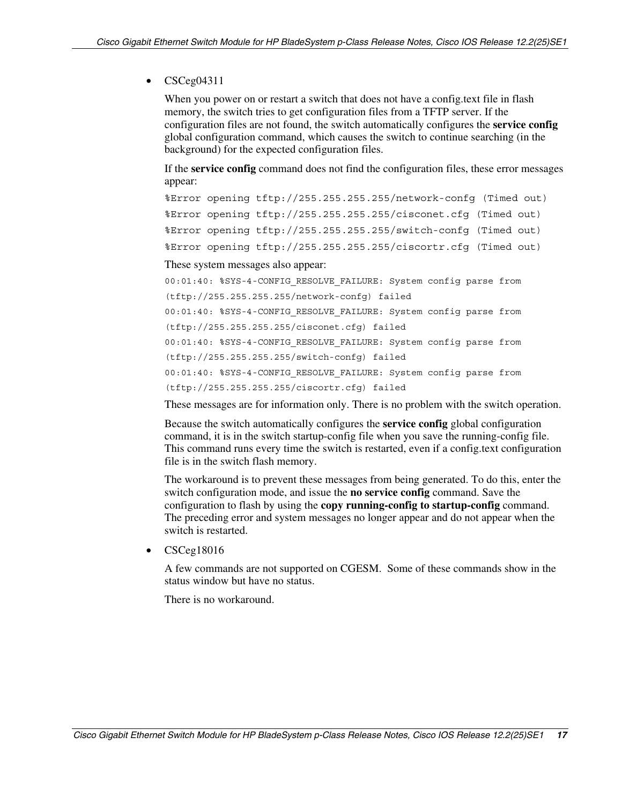#### • CSCeg04311

When you power on or restart a switch that does not have a config.text file in flash memory, the switch tries to get configuration files from a TFTP server. If the configuration files are not found, the switch automatically configures the **service config**  global configuration command, which causes the switch to continue searching (in the background) for the expected configuration files.

If the **service config** command does not find the configuration files, these error messages appear:

```
%Error opening tftp://255.255.255.255/network-confg (Timed out) 
%Error opening tftp://255.255.255.255/cisconet.cfg (Timed out) 
%Error opening tftp://255.255.255.255/switch-confg (Timed out) 
%Error opening tftp://255.255.255.255/ciscortr.cfg (Timed out)
```
These system messages also appear:

```
00:01:40: %SYS-4-CONFIG_RESOLVE_FAILURE: System config parse from 
(tftp://255.255.255.255/network-confg) failed 
00:01:40: %SYS-4-CONFIG_RESOLVE_FAILURE: System config parse from 
(tftp://255.255.255.255/cisconet.cfg) failed 
00:01:40: %SYS-4-CONFIG_RESOLVE_FAILURE: System config parse from 
(tftp://255.255.255.255/switch-confg) failed 
00:01:40: %SYS-4-CONFIG_RESOLVE_FAILURE: System config parse from 
(tftp://255.255.255.255/ciscortr.cfg) failed
```
These messages are for information only. There is no problem with the switch operation.

Because the switch automatically configures the **service config** global configuration command, it is in the switch startup-config file when you save the running-config file. This command runs every time the switch is restarted, even if a config.text configuration file is in the switch flash memory.

The workaround is to prevent these messages from being generated. To do this, enter the switch configuration mode, and issue the **no service config** command. Save the configuration to flash by using the **copy running-config to startup-config** command. The preceding error and system messages no longer appear and do not appear when the switch is restarted.

• CSCeg18016

A few commands are not supported on CGESM. Some of these commands show in the status window but have no status.

There is no workaround.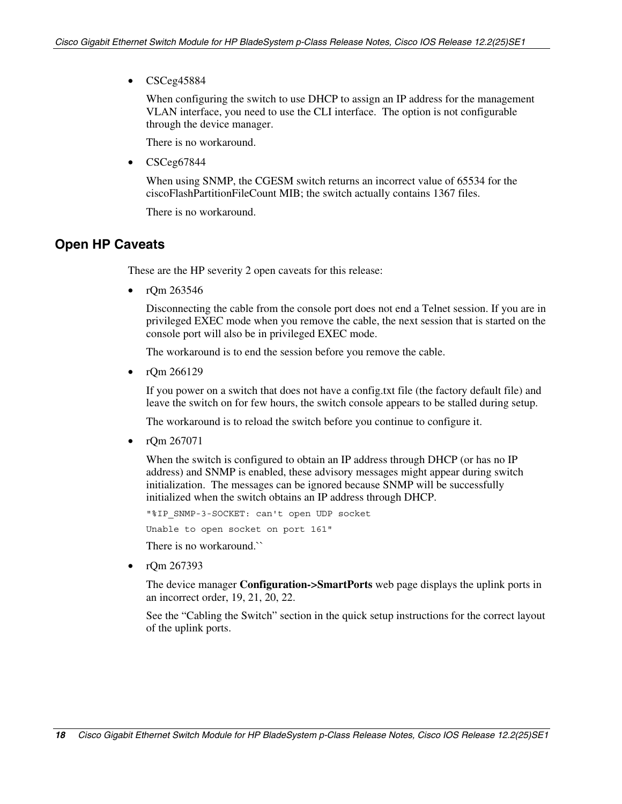• CSCeg45884

When configuring the switch to use DHCP to assign an IP address for the management VLAN interface, you need to use the CLI interface. The option is not configurable through the device manager.

There is no workaround.

• CSCeg67844

> When using SNMP, the CGESM switch returns an incorrect value of 65534 for the ciscoFlashPartitionFileCount MIB; the switch actually contains 1367 files.

There is no workaround.

### **Open HP Caveats**

These are the HP severity 2 open caveats for this release:

• rQm 263546

> Disconnecting the cable from the console port does not end a Telnet session. If you are in privileged EXEC mode when you remove the cable, the next session that is started on the console port will also be in privileged EXEC mode.

The workaround is to end the session before you remove the cable.

• rQm 266129

> If you power on a switch that does not have a config.txt file (the factory default file) and leave the switch on for few hours, the switch console appears to be stalled during setup.

The workaround is to reload the switch before you continue to configure it.

• rQm 267071

> When the switch is configured to obtain an IP address through DHCP (or has no IP address) and SNMP is enabled, these advisory messages might appear during switch initialization. The messages can be ignored because SNMP will be successfully initialized when the switch obtains an IP address through DHCP.

"%IP\_SNMP-3-SOCKET: can't open UDP socket

Unable to open socket on port 161"

There is no workaround.``

• rQm 267393

> The device manager **Configuration->SmartPorts** web page displays the uplink ports in an incorrect order, 19, 21, 20, 22.

> See the "Cabling the Switch" section in the quick setup instructions for the correct layout of the uplink ports.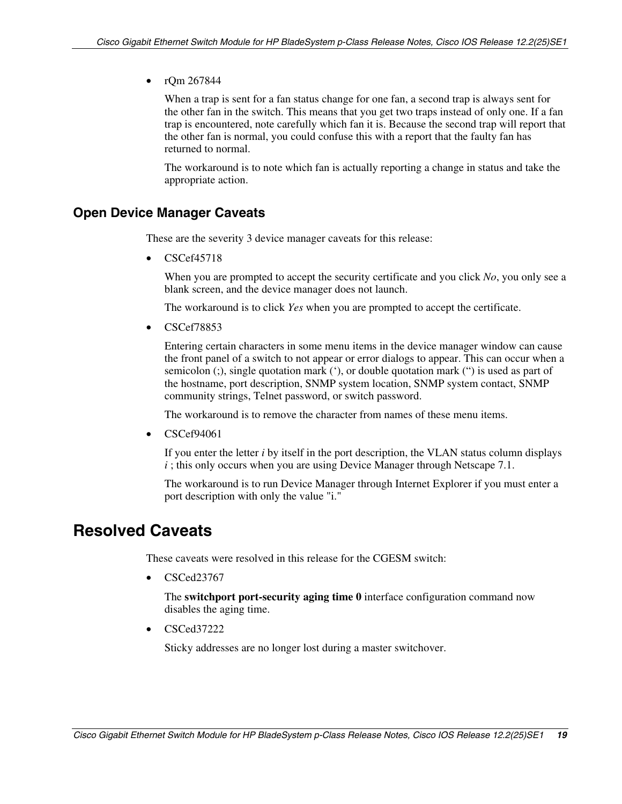### <span id="page-18-0"></span>• rQm 267844

When a trap is sent for a fan status change for one fan, a second trap is always sent for the other fan in the switch. This means that you get two traps instead of only one. If a fan trap is encountered, note carefully which fan it is. Because the second trap will report that the other fan is normal, you could confuse this with a report that the faulty fan has returned to normal.

The workaround is to note which fan is actually reporting a change in status and take the appropriate action.

## **Open Device Manager Caveats**

These are the severity 3 device manager caveats for this release:

• CSCef45718

> When you are prompted to accept the security certificate and you click *No*, you only see a blank screen, and the device manager does not launch.

The workaround is to click *Yes* when you are prompted to accept the certificate.

• CSCef78853

Entering certain characters in some menu items in the device manager window can cause the front panel of a switch to not appear or error dialogs to appear. This can occur when a semicolon (;), single quotation mark ('), or double quotation mark (") is used as part of the hostname, port description, SNMP system location, SNMP system contact, SNMP community strings, Telnet password, or switch password.

The workaround is to remove the character from names of these menu items.

• CSCef94061

If you enter the letter *i* by itself in the port description, the VLAN status column displays *i*; this only occurs when you are using Device Manager through Netscape 7.1.

The workaround is to run Device Manager through Internet Explorer if you must enter a port description with only the value "i."

## **Resolved Caveats**

These caveats were resolved in this release for the CGESM switch:

• CSCed23767

The **switchport port-security aging time 0** interface configuration command now disables the aging time.

• CSCed37222

Sticky addresses are no longer lost during a master switchover.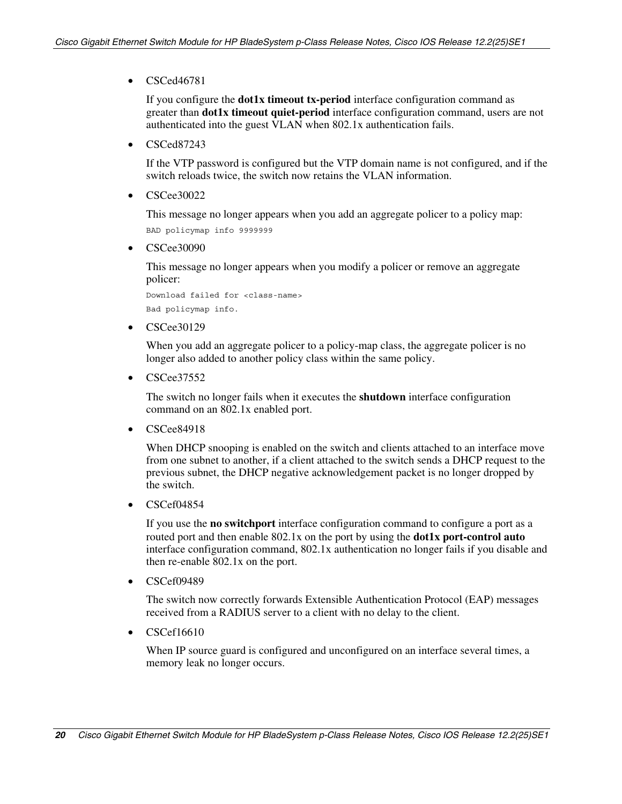• CSCed46781

If you configure the **dot1x timeout tx-period** interface configuration command as greater than **dot1x timeout quiet-period** interface configuration command, users are not authenticated into the guest VLAN when 802.1x authentication fails.

• CSCed87243

> If the VTP password is configured but the VTP domain name is not configured, and if the switch reloads twice, the switch now retains the VLAN information.

• CSCee30022

This message no longer appears when you add an aggregate policer to a policy map:

BAD policymap info 9999999

• CSCee30090

> This message no longer appears when you modify a policer or remove an aggregate policer:

Download failed for <class-name> Bad policymap info.

• CSCee30129

> When you add an aggregate policer to a policy-map class, the aggregate policer is no longer also added to another policy class within the same policy.

• CSCee37552

> The switch no longer fails when it executes the **shutdown** interface configuration command on an 802.1x enabled port.

• CSCee84918

> When DHCP snooping is enabled on the switch and clients attached to an interface move from one subnet to another, if a client attached to the switch sends a DHCP request to the previous subnet, the DHCP negative acknowledgement packet is no longer dropped by the switch.

• CSCef04854

> If you use the **no switchport** interface configuration command to configure a port as a routed port and then enable 802.1x on the port by using the **dot1x port-control auto**  interface configuration command, 802.1x authentication no longer fails if you disable and then re-enable 802.1x on the port.

• CSCef09489

> The switch now correctly forwards Extensible Authentication Protocol (EAP) messages received from a RADIUS server to a client with no delay to the client.

• CSCef16610

> When IP source guard is configured and unconfigured on an interface several times, a memory leak no longer occurs.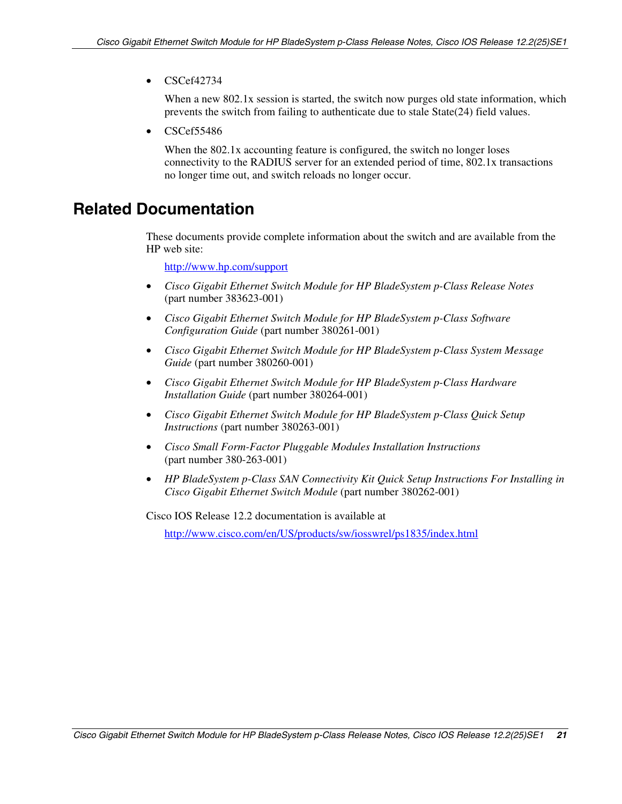<span id="page-20-0"></span>• CSCef42734

When a new 802.1x session is started, the switch now purges old state information, which prevents the switch from failing to authenticate due to stale State(24) field values.

• CSCef55486

When the 802.1x accounting feature is configured, the switch no longer loses connectivity to the RADIUS server for an extended period of time, 802.1x transactions no longer time out, and switch reloads no longer occur.

## **Related Documentation**

These documents provide complete information about the switch and are available from the HP web site:

<http://www.hp.com/support>

- *Cisco Gigabit Ethernet Switch Module for HP BladeSystem p-Class Release Notes*  (part number 383623-001)
- *Cisco Gigabit Ethernet Switch Module for HP BladeSystem p-Class Software Configuration Guide* (part number 380261-001)
- *Cisco Gigabit Ethernet Switch Module for HP BladeSystem p-Class System Message Guide* (part number 380260-001)
- *Cisco Gigabit Ethernet Switch Module for HP BladeSystem p-Class Hardware Installation Guide* (part number 380264-001)
- *Cisco Gigabit Ethernet Switch Module for HP BladeSystem p-Class Quick Setup Instructions* (part number 380263-001)
- $\bullet$ *Cisco Small Form-Factor Pluggable Modules Installation Instructions*  (part number 380-263-001)
- *HP BladeSystem p-Class SAN Connectivity Kit Quick Setup Instructions For Installing in Cisco Gigabit Ethernet Switch Module* (part number 380262-001)

Cisco IOS Release 12.2 documentation is available at

<http://www.cisco.com/en/US/products/sw/iosswrel/ps1835/index.html>